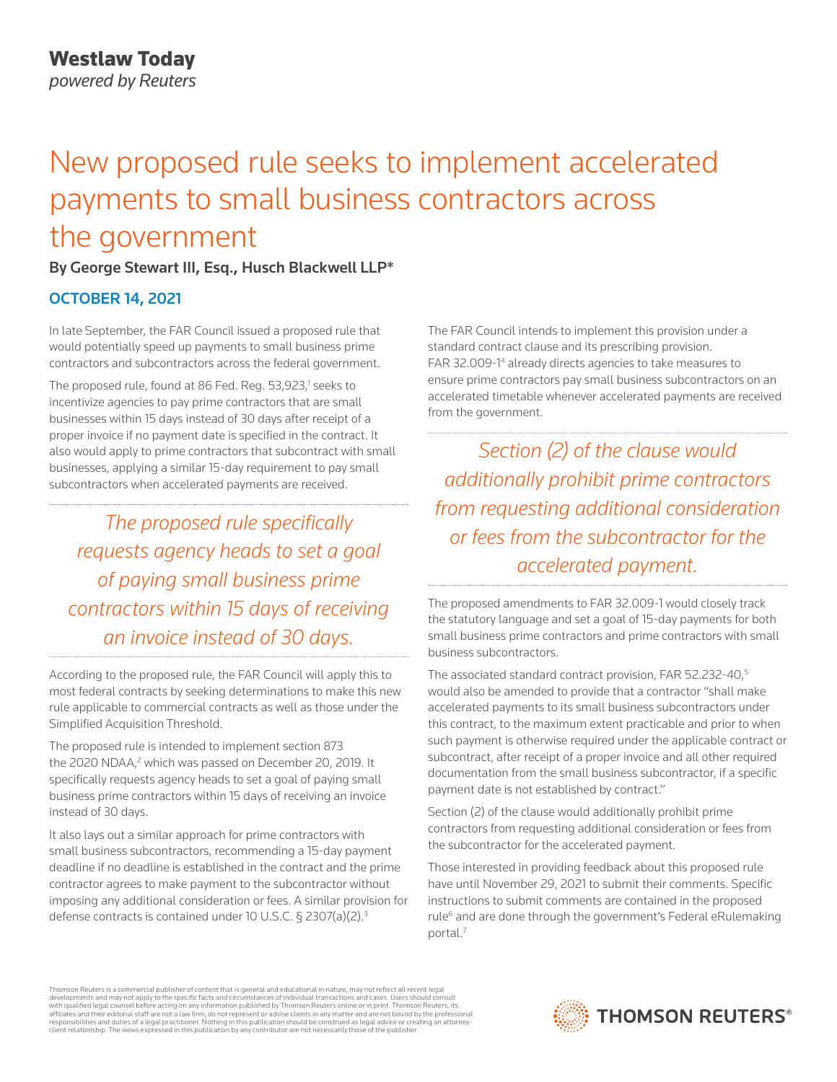# New proposed rule seeks to implement accelerated payments to small business contractors across the government

## By George Stewart III, Esq., Husch Blackwell LLP\*

## OCTOBER 14, 2021

In late September, the FAR Council issued a proposed rule that would potentially speed up payments to small business prime contractors and subcontractors across the federal government.

The proposed rule, found at 86 Fed. Reg. 53,923,<sup>1</sup> seeks to incentivize agencies to pay prime contractors that are small businesses within 15 days instead of 30 days after receipt of a proper invoice if no payment date is specified in the contract. It also would apply to prime contractors that subcontract with small businesses, applying a similar 15-day requirement to pay small subcontractors when accelerated payments are received.

*The proposed rule specifically requests agency heads to set a goal of paying small business prime contractors within 15 days of receiving an invoice instead of 30 days.*

According to the proposed rule, the FAR Council will apply this to most federal contracts by seeking determinations to make this new rule applicable to commercial contracts as well as those under the Simplified Acquisition Threshold.

The proposed rule is intended to implement section 873 the 2020 NDAA,<sup>2</sup> which was passed on December 20, 2019. It specifically requests agency heads to set a goal of paying small business prime contractors within 15 days of receiving an invoice instead of 30 days.

It also lays out a similar approach for prime contractors with small business subcontractors, recommending a 15-day payment deadline if no deadline is established in the contract and the prime contractor agrees to make payment to the subcontractor without imposing any additional consideration or fees. A similar provision for defense contracts is contained under 10 U.S.C. § 2307(a)(2).3

The FAR Council intends to implement this provision under a standard contract clause and its prescribing provision. FAR 32.009-1<sup>4</sup> already directs agencies to take measures to ensure prime contractors pay small business subcontractors on an accelerated timetable whenever accelerated payments are received from the government.

*Section (2) of the clause would additionally prohibit prime contractors from requesting additional consideration or fees from the subcontractor for the accelerated payment.*

The proposed amendments to FAR 32.009-1 would closely track the statutory language and set a goal of 15-day payments for both small business prime contractors and prime contractors with small business subcontractors.

The associated standard contract provision, FAR 52.232-40,<sup>5</sup> would also be amended to provide that a contractor "shall make accelerated payments to its small business subcontractors under this contract, to the maximum extent practicable and prior to when such payment is otherwise required under the applicable contract or subcontract, after receipt of a proper invoice and all other required documentation from the small business subcontractor, if a specific payment date is not established by contract."

Section (2) of the clause would additionally prohibit prime contractors from requesting additional consideration or fees from the subcontractor for the accelerated payment.

Those interested in providing feedback about this proposed rule have until November 29, 2021 to submit their comments. Specific instructions to submit comments are contained in the proposed rule<sup>6</sup> and are done through the government's Federal eRulemaking portal.<sup>7</sup>

Thomson Reuters is a commercial publisher of content that is general and educational in nature, may not reflect all recent legal developments and may not apply to the specific facts and circumstances of individual transactions and cases. Users should consult<br>with qualified legal counsel before acting on any information published by Thomson Reuters o responsibilities and duties of a legal practitioner. Nothing in this publication should be construed as legal advice or creating an attorneyclient relationship. The views expressed in this publication by any contributor are not necessarily those of the publisher.